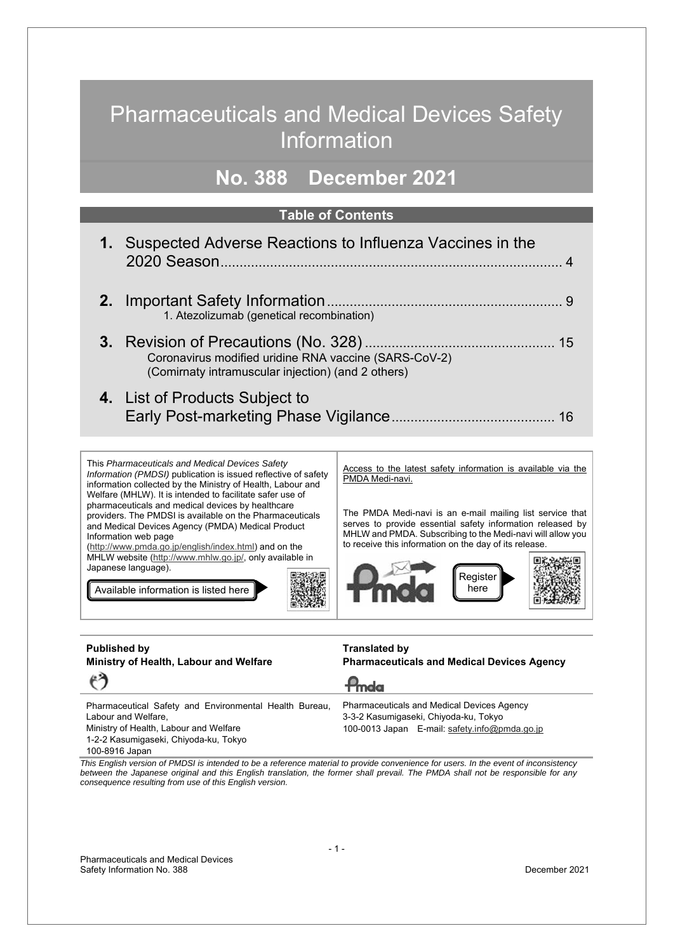## Pharmaceuticals and Medical Devices Safety Information

## **No. 388 December 2021**

#### **Table of Contents**

| 1. Suspected Adverse Reactions to Influenza Vaccines in the                                                 |  |
|-------------------------------------------------------------------------------------------------------------|--|
| 1. Atezolizumab (genetical recombination)                                                                   |  |
| Coronavirus modified uridine RNA vaccine (SARS-CoV-2)<br>(Comirnaty intramuscular injection) (and 2 others) |  |
| 4. List of Products Subject to                                                                              |  |

This *Pharmaceuticals and Medical Devices Safety Information (PMDSI)* publication is issued reflective of safety information collected by the Ministry of Health, Labour and Welfare (MHLW). It is intended to facilitate safer use of pharmaceuticals and medical devices by healthcare providers. The PMDSI is available on the Pharmaceuticals and Medical Devices Agency (PMDA) Medical Product Information web page

(http://www.pmda.go.jp/english/index.html) and on the MHLW website (http://www.mhlw.go.jp/, only available in Japanese language).

Available information is listed here

Access to the latest safety information is available via the PMDA Medi-navi.

The PMDA Medi-navi is an e-mail mailing list service that serves to provide essential safety information released by MHLW and PMDA. Subscribing to the Medi-navi will allow you to receive this information on the day of its release.



#### **Published by Ministry of Health, Labour and Welfare**  もう

#### **Translated by Pharmaceuticals and Medical Devices Agency**

 $P<sub>mda</sub>$ 

Pharmaceutical Safety and Environmental Health Bureau, Labour and Welfare,

Ministry of Health, Labour and Welfare 1-2-2 Kasumigaseki, Chiyoda-ku, Tokyo

100-8916 Japan

#### Pharmaceuticals and Medical Devices Agency 3-3-2 Kasumigaseki, Chiyoda-ku, Tokyo 100-0013 Japan E-mail: safety.info@pmda.go.jp

*This English version of PMDSI is intended to be a reference material to provide convenience for users. In the event of inconsistency between the Japanese original and this English translation, the former shall prevail. The PMDA shall not be responsible for any consequence resulting from use of this English version.*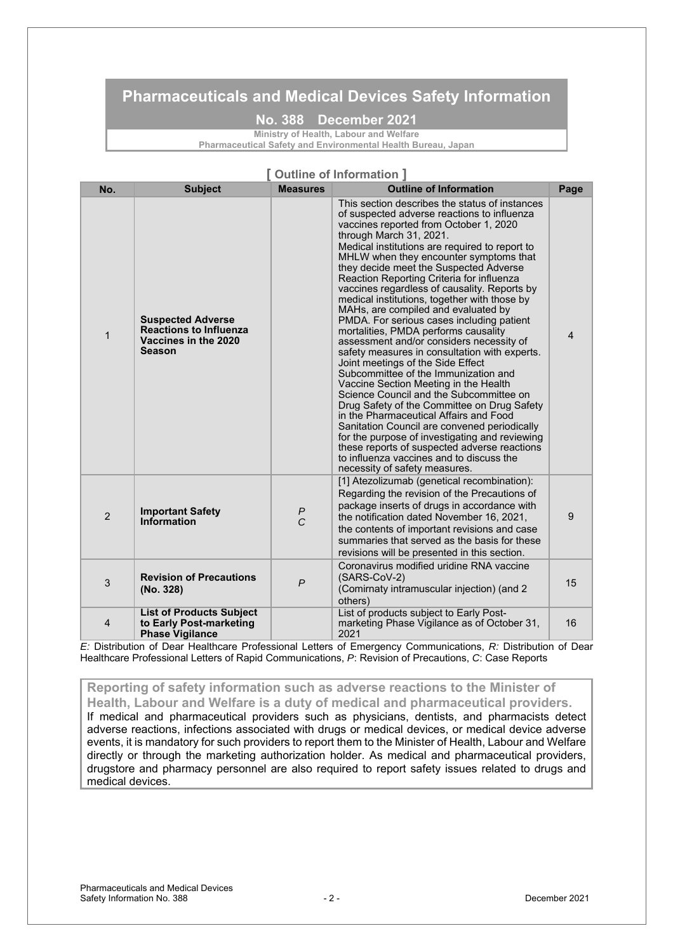### **Pharmaceuticals and Medical Devices Safety Information**

**No. 388 December 2021**

**Ministry of Health, Labour and Welfare Pharmaceutical Safety and Environmental Health Bureau, Japan**

| [ Outline of Information ] |                                                                                             |                 |                                                                                                                                                                                                                                                                                                                                                                                                                                                                                                                                                                                                                                                                                                                                                                                                                                                                                                                                                                                                                                                                                                                                                                         |                |  |
|----------------------------|---------------------------------------------------------------------------------------------|-----------------|-------------------------------------------------------------------------------------------------------------------------------------------------------------------------------------------------------------------------------------------------------------------------------------------------------------------------------------------------------------------------------------------------------------------------------------------------------------------------------------------------------------------------------------------------------------------------------------------------------------------------------------------------------------------------------------------------------------------------------------------------------------------------------------------------------------------------------------------------------------------------------------------------------------------------------------------------------------------------------------------------------------------------------------------------------------------------------------------------------------------------------------------------------------------------|----------------|--|
| No.                        | <b>Subject</b>                                                                              | <b>Measures</b> | <b>Outline of Information</b>                                                                                                                                                                                                                                                                                                                                                                                                                                                                                                                                                                                                                                                                                                                                                                                                                                                                                                                                                                                                                                                                                                                                           | Page           |  |
| $\mathbf{1}$               | <b>Suspected Adverse</b><br><b>Reactions to Influenza</b><br>Vaccines in the 2020<br>Season |                 | This section describes the status of instances<br>of suspected adverse reactions to influenza<br>vaccines reported from October 1, 2020<br>through March 31, 2021.<br>Medical institutions are required to report to<br>MHLW when they encounter symptoms that<br>they decide meet the Suspected Adverse<br>Reaction Reporting Criteria for influenza<br>vaccines regardless of causality. Reports by<br>medical institutions, together with those by<br>MAHs, are compiled and evaluated by<br>PMDA. For serious cases including patient<br>mortalities, PMDA performs causality<br>assessment and/or considers necessity of<br>safety measures in consultation with experts.<br>Joint meetings of the Side Effect<br>Subcommittee of the Immunization and<br>Vaccine Section Meeting in the Health<br>Science Council and the Subcommittee on<br>Drug Safety of the Committee on Drug Safety<br>in the Pharmaceutical Affairs and Food<br>Sanitation Council are convened periodically<br>for the purpose of investigating and reviewing<br>these reports of suspected adverse reactions<br>to influenza vaccines and to discuss the<br>necessity of safety measures. | $\overline{4}$ |  |
| $\mathcal{P}$              | <b>Important Safety</b><br>Information                                                      | $\frac{P}{C}$   | [1] Atezolizumab (genetical recombination):<br>Regarding the revision of the Precautions of<br>package inserts of drugs in accordance with<br>the notification dated November 16, 2021,<br>the contents of important revisions and case<br>summaries that served as the basis for these<br>revisions will be presented in this section.                                                                                                                                                                                                                                                                                                                                                                                                                                                                                                                                                                                                                                                                                                                                                                                                                                 | 9              |  |
| 3                          | <b>Revision of Precautions</b><br>(No. 328)                                                 | $\mathsf{P}$    | Coronavirus modified uridine RNA vaccine<br>(SARS-CoV-2)<br>(Comirnaty intramuscular injection) (and 2<br>others)                                                                                                                                                                                                                                                                                                                                                                                                                                                                                                                                                                                                                                                                                                                                                                                                                                                                                                                                                                                                                                                       | 15             |  |
| 4                          | <b>List of Products Subject</b><br>to Early Post-marketing<br><b>Phase Vigilance</b>        |                 | List of products subject to Early Post-<br>marketing Phase Vigilance as of October 31,<br>2021                                                                                                                                                                                                                                                                                                                                                                                                                                                                                                                                                                                                                                                                                                                                                                                                                                                                                                                                                                                                                                                                          | 16             |  |

*E:* Distribution of Dear Healthcare Professional Letters of Emergency Communications, *R:* Distribution of Dear Healthcare Professional Letters of Rapid Communications, *P*: Revision of Precautions, *C*: Case Reports

### **Reporting of safety information such as adverse reactions to the Minister of**

**Health, Labour and Welfare is a duty of medical and pharmaceutical providers.**  If medical and pharmaceutical providers such as physicians, dentists, and pharmacists detect adverse reactions, infections associated with drugs or medical devices, or medical device adverse events, it is mandatory for such providers to report them to the Minister of Health, Labour and Welfare directly or through the marketing authorization holder. As medical and pharmaceutical providers, drugstore and pharmacy personnel are also required to report safety issues related to drugs and medical devices.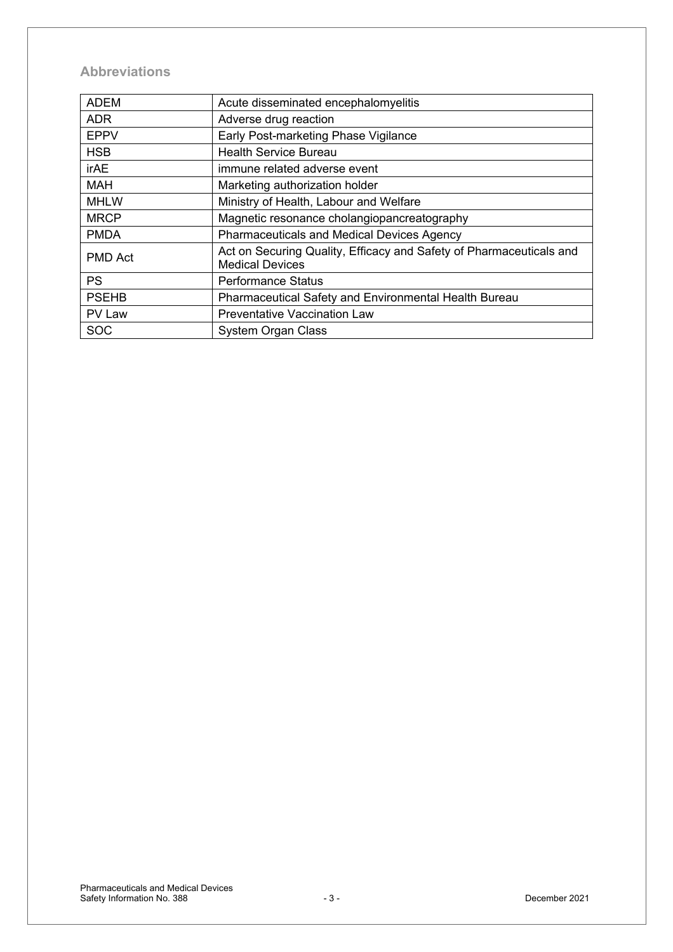### **Abbreviations**

| <b>ADEM</b>    | Acute disseminated encephalomyelitis                                                          |
|----------------|-----------------------------------------------------------------------------------------------|
| <b>ADR</b>     | Adverse drug reaction                                                                         |
| <b>EPPV</b>    | Early Post-marketing Phase Vigilance                                                          |
| <b>HSB</b>     | <b>Health Service Bureau</b>                                                                  |
| irAE           | immune related adverse event                                                                  |
| <b>MAH</b>     | Marketing authorization holder                                                                |
| <b>MHLW</b>    | Ministry of Health, Labour and Welfare                                                        |
| <b>MRCP</b>    | Magnetic resonance cholangiopancreatography                                                   |
| <b>PMDA</b>    | <b>Pharmaceuticals and Medical Devices Agency</b>                                             |
| <b>PMD Act</b> | Act on Securing Quality, Efficacy and Safety of Pharmaceuticals and<br><b>Medical Devices</b> |
| <b>PS</b>      | <b>Performance Status</b>                                                                     |
| <b>PSEHB</b>   | Pharmaceutical Safety and Environmental Health Bureau                                         |
| PV Law         | <b>Preventative Vaccination Law</b>                                                           |
| <b>SOC</b>     | <b>System Organ Class</b>                                                                     |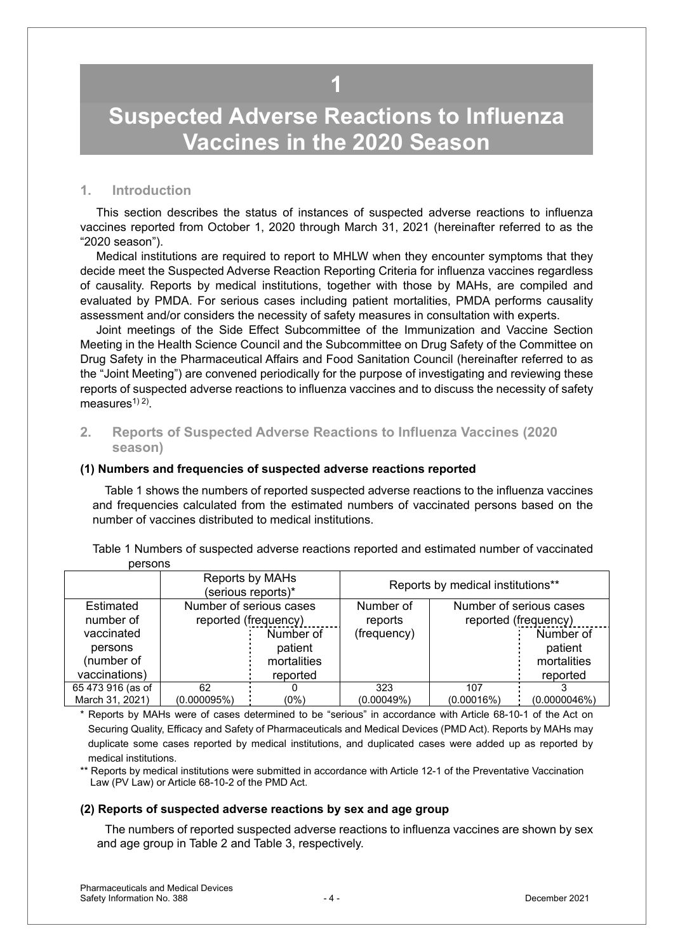## <span id="page-3-0"></span>**Suspected Adverse Reactions to Influenza Vaccines in the 2020 Season**

#### **1. Introduction**

This section describes the status of instances of suspected adverse reactions to influenza vaccines reported from October 1, 2020 through March 31, 2021 (hereinafter referred to as the "2020 season").

Medical institutions are required to report to MHLW when they encounter symptoms that they decide meet the Suspected Adverse Reaction Reporting Criteria for influenza vaccines regardless of causality. Reports by medical institutions, together with those by MAHs, are compiled and evaluated by PMDA. For serious cases including patient mortalities, PMDA performs causality assessment and/or considers the necessity of safety measures in consultation with experts.

Joint meetings of the Side Effect Subcommittee of the Immunization and Vaccine Section Meeting in the Health Science Council and the Subcommittee on Drug Safety of the Committee on Drug Safety in the Pharmaceutical Affairs and Food Sanitation Council (hereinafter referred to as the "Joint Meeting") are convened periodically for the purpose of investigating and reviewing these reports of suspected adverse reactions to influenza vaccines and to discuss the necessity of safety measures<sup> $(1)$ </sup>.

#### **2. Reports of Suspected Adverse Reactions to Influenza Vaccines (2020 season)**

#### **(1) Numbers and frequencies of suspected adverse reactions reported**

Table 1 shows the numbers of reported suspected adverse reactions to the influenza vaccines and frequencies calculated from the estimated numbers of vaccinated persons based on the number of vaccines distributed to medical institutions.

|         | Table 1 Numbers of suspected adverse reactions reported and estimated number of vaccinated |  |  |  |  |  |
|---------|--------------------------------------------------------------------------------------------|--|--|--|--|--|
| persons |                                                                                            |  |  |  |  |  |

|                   |                      | Reports by MAHs<br>(serious reports)* |             | Reports by medical institutions** |                         |
|-------------------|----------------------|---------------------------------------|-------------|-----------------------------------|-------------------------|
| Estimated         |                      | Number of serious cases               | Number of   |                                   | Number of serious cases |
| number of         | reported (frequency) |                                       | reports     | reported (frequency)              |                         |
| vaccinated        |                      | Number of                             | (frequency) |                                   | Number of               |
| persons           |                      | patient                               |             |                                   | patient                 |
| (number of        |                      | mortalities                           |             |                                   | mortalities             |
| vaccinations)     |                      | reported                              |             |                                   | reported                |
| 65 473 916 (as of | 62                   |                                       | 323         | 107                               |                         |
| March 31, 2021)   | (0.000095%)          | (0%)                                  | (0.00049%)  | (0.00016%)                        | (0.0000046%)            |

\* Reports by MAHs were of cases determined to be "serious" in accordance with Article 68-10-1 of the Act on Securing Quality, Efficacy and Safety of Pharmaceuticals and Medical Devices (PMD Act). Reports by MAHs may duplicate some cases reported by medical institutions, and duplicated cases were added up as reported by medical institutions.

\*\* Reports by medical institutions were submitted in accordance with Article 12-1 of the Preventative Vaccination Law (PV Law) or Article 68-10-2 of the PMD Act.

#### **(2) Reports of suspected adverse reactions by sex and age group**

The numbers of reported suspected adverse reactions to influenza vaccines are shown by sex and age group in Table 2 and Table 3, respectively.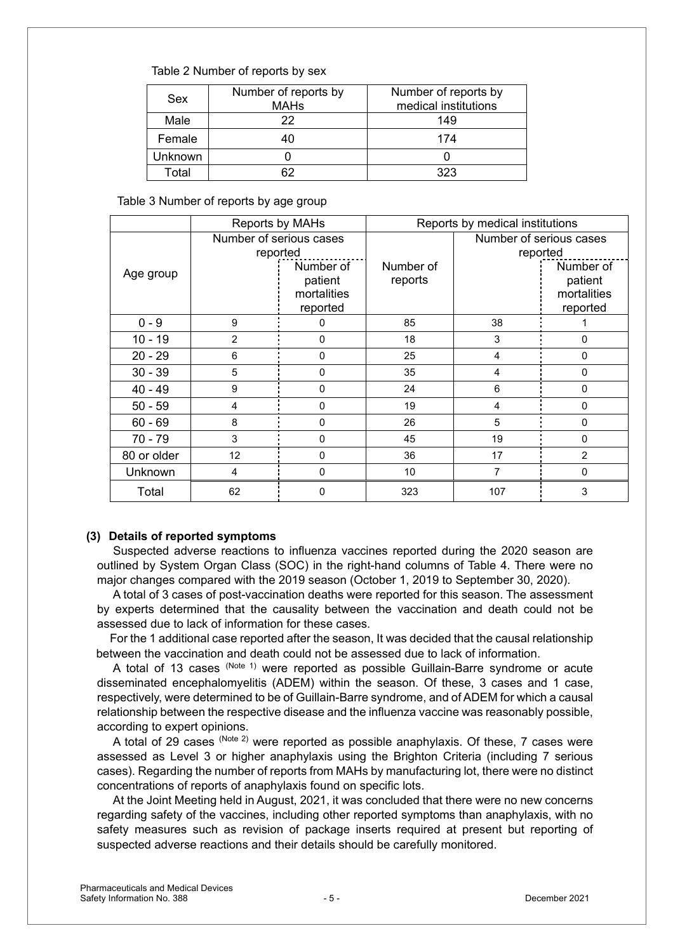#### Table 2 Number of reports by sex

| Sex     | Number of reports by<br><b>MAHs</b> | Number of reports by<br>medical institutions |
|---------|-------------------------------------|----------------------------------------------|
| Male    | 22                                  | 149                                          |
| Female  | 40                                  | 174                                          |
| Jnknown |                                     |                                              |
| Total   | ຂາ                                  | ふひろ                                          |

Table 3 Number of reports by age group

|             | Reports by MAHs                     |                                                 | Reports by medical institutions |                                     |                                                 |  |
|-------------|-------------------------------------|-------------------------------------------------|---------------------------------|-------------------------------------|-------------------------------------------------|--|
|             | Number of serious cases<br>reported |                                                 |                                 | Number of serious cases<br>reported |                                                 |  |
| Age group   |                                     | Number of<br>patient<br>mortalities<br>reported | Number of<br>reports            |                                     | Number of<br>patient<br>mortalities<br>reported |  |
| $0 - 9$     | 9                                   | 0                                               | 85                              | 38                                  |                                                 |  |
| $10 - 19$   | 2                                   | 0                                               | 18                              | 3                                   | 0                                               |  |
| $20 - 29$   | 6                                   | $\Omega$                                        | 25                              | 4                                   | 0                                               |  |
| $30 - 39$   | 5                                   | 0                                               | 35                              | $\overline{4}$                      | 0                                               |  |
| $40 - 49$   | 9                                   | 0                                               | 24                              | 6                                   | 0                                               |  |
| $50 - 59$   | 4                                   | $\Omega$                                        | 19                              | 4                                   | 0                                               |  |
| $60 - 69$   | 8                                   | $\Omega$                                        | 26                              | 5                                   | $\Omega$                                        |  |
| 70 - 79     | 3                                   | 0                                               | 45                              | 19                                  | 0                                               |  |
| 80 or older | 12                                  | 0                                               | 36                              | 17                                  | $\mathfrak{p}$                                  |  |
| Unknown     | 4                                   | 0                                               | 10                              | 7                                   | 0                                               |  |
| Total       | 62                                  | 0                                               | 323                             | 107                                 | 3                                               |  |

#### **(3) Details of reported symptoms**

Suspected adverse reactions to influenza vaccines reported during the 2020 season are outlined by System Organ Class (SOC) in the right-hand columns of Table 4. There were no major changes compared with the 2019 season (October 1, 2019 to September 30, 2020).

A total of 3 cases of post-vaccination deaths were reported for this season. The assessment by experts determined that the causality between the vaccination and death could not be assessed due to lack of information for these cases.

For the 1 additional case reported after the season, It was decided that the causal relationship between the vaccination and death could not be assessed due to lack of information.

A total of 13 cases (Note 1) were reported as possible Guillain-Barre syndrome or acute disseminated encephalomyelitis (ADEM) within the season. Of these, 3 cases and 1 case, respectively, were determined to be of Guillain-Barre syndrome, and of ADEM for which a causal relationship between the respective disease and the influenza vaccine was reasonably possible, according to expert opinions.

A total of 29 cases (Note 2) were reported as possible anaphylaxis. Of these, 7 cases were assessed as Level 3 or higher anaphylaxis using the Brighton Criteria (including 7 serious cases). Regarding the number of reports from MAHs by manufacturing lot, there were no distinct concentrations of reports of anaphylaxis found on specific lots.

At the Joint Meeting held in August, 2021, it was concluded that there were no new concerns regarding safety of the vaccines, including other reported symptoms than anaphylaxis, with no safety measures such as revision of package inserts required at present but reporting of suspected adverse reactions and their details should be carefully monitored.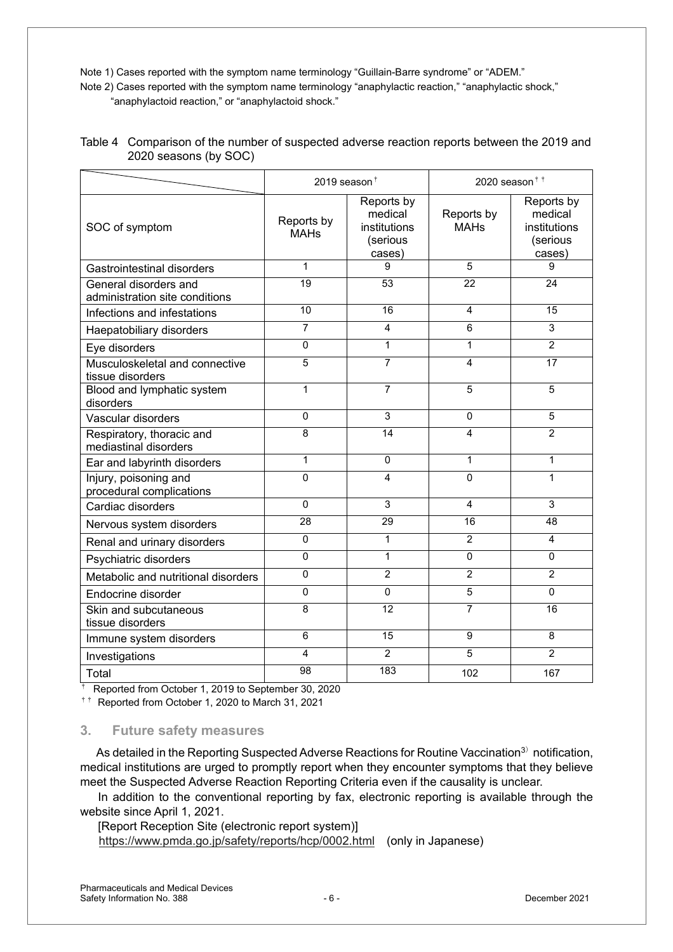Note 1) Cases reported with the symptom name terminology "Guillain-Barre syndrome" or "ADEM."

Note 2) Cases reported with the symptom name terminology "anaphylactic reaction," "anaphylactic shock," "anaphylactoid reaction," or "anaphylactoid shock."

|                                                         | 2019 season $†$           |                                                             | 2020 season $\dagger$ $\dagger$ |                                                             |  |
|---------------------------------------------------------|---------------------------|-------------------------------------------------------------|---------------------------------|-------------------------------------------------------------|--|
| SOC of symptom                                          | Reports by<br><b>MAHs</b> | Reports by<br>medical<br>institutions<br>(serious<br>cases) | Reports by<br><b>MAHs</b>       | Reports by<br>medical<br>institutions<br>(serious<br>cases) |  |
| Gastrointestinal disorders                              | 1                         | 9                                                           | 5                               | 9                                                           |  |
| General disorders and<br>administration site conditions | 19                        | 53                                                          | 22                              | 24                                                          |  |
| Infections and infestations                             | 10                        | 16                                                          | 4                               | 15                                                          |  |
| Haepatobiliary disorders                                | $\overline{7}$            | $\overline{4}$                                              | 6                               | 3                                                           |  |
| Eye disorders                                           | 0                         | $\mathbf{1}$                                                | 1                               | $\overline{2}$                                              |  |
| Musculoskeletal and connective<br>tissue disorders      | 5                         | $\overline{7}$                                              | $\overline{\mathbf{A}}$         | 17                                                          |  |
| Blood and lymphatic system<br>disorders                 | 1                         | 7                                                           | 5                               | 5                                                           |  |
| Vascular disorders                                      | $\mathbf 0$               | 3                                                           | 0                               | 5                                                           |  |
| Respiratory, thoracic and<br>mediastinal disorders      | 8                         | 14                                                          | $\boldsymbol{\Lambda}$          | $\overline{2}$                                              |  |
| Ear and labyrinth disorders                             | $\mathbf{1}$              | $\Omega$                                                    | 1                               | $\mathbf{1}$                                                |  |
| Injury, poisoning and<br>procedural complications       | 0                         | 4                                                           | $\Omega$                        | $\mathbf{1}$                                                |  |
| Cardiac disorders                                       | $\mathbf 0$               | 3                                                           | 4                               | 3                                                           |  |
| Nervous system disorders                                | 28                        | 29                                                          | 16                              | 48                                                          |  |
| Renal and urinary disorders                             | $\mathbf 0$               | 1                                                           | $\overline{2}$                  | $\overline{4}$                                              |  |
| Psychiatric disorders                                   | $\Omega$                  | $\mathbf{1}$                                                | $\Omega$                        | $\Omega$                                                    |  |
| Metabolic and nutritional disorders                     | 0                         | $\overline{2}$                                              | $\overline{2}$                  | $\overline{2}$                                              |  |
| Endocrine disorder                                      | 0                         | $\Omega$                                                    | $\overline{5}$                  | $\Omega$                                                    |  |
| Skin and subcutaneous<br>tissue disorders               | 8                         | 12                                                          | 7                               | 16                                                          |  |
| Immune system disorders                                 | 6                         | 15                                                          | 9                               | 8                                                           |  |
| Investigations                                          | 4                         | $\overline{2}$                                              | 5                               | $\overline{2}$                                              |  |
| Total                                                   | 98                        | 183                                                         | 102                             | 167                                                         |  |

| Table 4 Comparison of the number of suspected adverse reaction reports between the 2019 and |
|---------------------------------------------------------------------------------------------|
| 2020 seasons (by SOC)                                                                       |

† Reported from October 1, 2019 to September 30, 2020

 $\dagger$ <sup>†</sup> Reported from October 1, 2020 to March 31, 2021

#### **3. Future safety measures**

As detailed in the Reporting Suspected Adverse Reactions for Routine Vaccination<sup>3)</sup> notification, medical institutions are urged to promptly report when they encounter symptoms that they believe meet the Suspected Adverse Reaction Reporting Criteria even if the causality is unclear.

In addition to the conventional reporting by fax, electronic reporting is available through the website since April 1, 2021.

[Report Reception Site (electronic report system)] https://www.pmda.go.jp/safety/reports/hcp/0002.html (only in Japanese)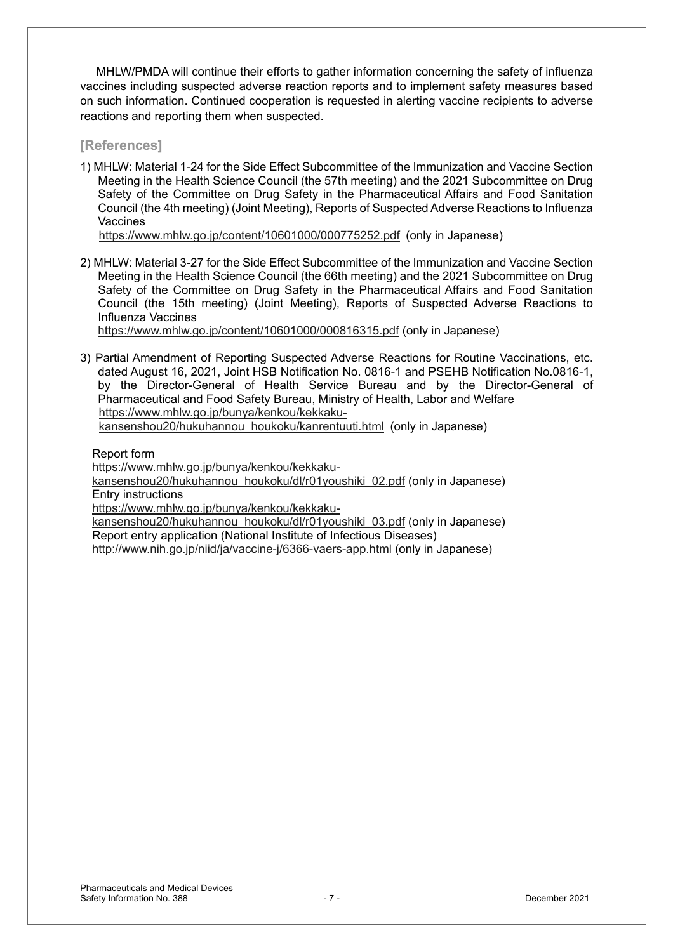MHLW/PMDA will continue their efforts to gather information concerning the safety of influenza vaccines including suspected adverse reaction reports and to implement safety measures based on such information. Continued cooperation is requested in alerting vaccine recipients to adverse reactions and reporting them when suspected.

#### **[References]**

1) MHLW: Material 1-24 for the Side Effect Subcommittee of the Immunization and Vaccine Section Meeting in the Health Science Council (the 57th meeting) and the 2021 Subcommittee on Drug Safety of the Committee on Drug Safety in the Pharmaceutical Affairs and Food Sanitation Council (the 4th meeting) (Joint Meeting), Reports of Suspected Adverse Reactions to Influenza Vaccines

https://www.mhlw.go.jp/content/10601000/000775252.pdf (only in Japanese)

2) MHLW: Material 3-27 for the Side Effect Subcommittee of the Immunization and Vaccine Section Meeting in the Health Science Council (the 66th meeting) and the 2021 Subcommittee on Drug Safety of the Committee on Drug Safety in the Pharmaceutical Affairs and Food Sanitation Council (the 15th meeting) (Joint Meeting), Reports of Suspected Adverse Reactions to Influenza Vaccines

https://www.mhlw.go.jp/content/10601000/000816315.pdf (only in Japanese)

3) Partial Amendment of Reporting Suspected Adverse Reactions for Routine Vaccinations, etc. dated August 16, 2021, Joint HSB Notification No. 0816-1 and PSEHB Notification No.0816-1, by the Director-General of Health Service Bureau and by the Director-General of Pharmaceutical and Food Safety Bureau, Ministry of Health, Labor and Welfare https://www.mhlw.go.jp/bunya/kenkou/kekkakukansenshou20/hukuhannou\_houkoku/kanrentuuti.html (only in Japanese)

Report form

https://www.mhlw.go.jp/bunya/kenkou/kekkaku-

kansenshou20/hukuhannou\_houkoku/dl/r01youshiki\_02.pdf (only in Japanese) Entry instructions

https://www.mhlw.go.jp/bunya/kenkou/kekkaku-

kansenshou20/hukuhannou\_houkoku/dl/r01youshiki\_03.pdf (only in Japanese) Report entry application (National Institute of Infectious Diseases)

http://www.nih.go.jp/niid/ja/vaccine-j/6366-vaers-app.html (only in Japanese)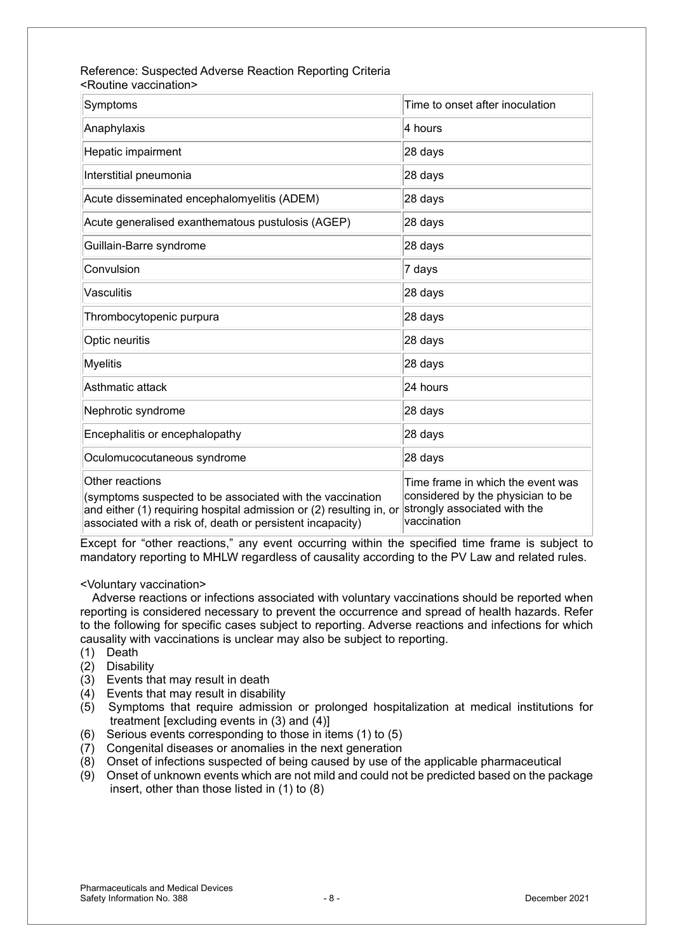#### Reference: Suspected Adverse Reaction Reporting Criteria <Routine vaccination>

| Symptoms                                                                                                                                                                                                          | Time to onset after inoculation                                                                                       |
|-------------------------------------------------------------------------------------------------------------------------------------------------------------------------------------------------------------------|-----------------------------------------------------------------------------------------------------------------------|
| Anaphylaxis                                                                                                                                                                                                       | 4 hours                                                                                                               |
| Hepatic impairment                                                                                                                                                                                                | 28 days                                                                                                               |
| Interstitial pneumonia                                                                                                                                                                                            | 28 days                                                                                                               |
| Acute disseminated encephalomyelitis (ADEM)                                                                                                                                                                       | 28 days                                                                                                               |
| Acute generalised exanthematous pustulosis (AGEP)                                                                                                                                                                 | 28 days                                                                                                               |
| Guillain-Barre syndrome                                                                                                                                                                                           | 28 days                                                                                                               |
| Convulsion                                                                                                                                                                                                        | 7 days                                                                                                                |
| Vasculitis                                                                                                                                                                                                        | 28 days                                                                                                               |
| Thrombocytopenic purpura                                                                                                                                                                                          | 28 days                                                                                                               |
| Optic neuritis                                                                                                                                                                                                    | 28 days                                                                                                               |
| <b>Myelitis</b>                                                                                                                                                                                                   | 28 days                                                                                                               |
| Asthmatic attack                                                                                                                                                                                                  | 24 hours                                                                                                              |
| Nephrotic syndrome                                                                                                                                                                                                | 28 days                                                                                                               |
| Encephalitis or encephalopathy                                                                                                                                                                                    | 28 days                                                                                                               |
| Oculomucocutaneous syndrome                                                                                                                                                                                       | 28 days                                                                                                               |
| Other reactions<br>(symptoms suspected to be associated with the vaccination<br>and either (1) requiring hospital admission or (2) resulting in, or<br>associated with a risk of, death or persistent incapacity) | Time frame in which the event was<br>considered by the physician to be<br>strongly associated with the<br>vaccination |

Except for "other reactions," any event occurring within the specified time frame is subject to mandatory reporting to MHLW regardless of causality according to the PV Law and related rules.

#### <Voluntary vaccination>

Adverse reactions or infections associated with voluntary vaccinations should be reported when reporting is considered necessary to prevent the occurrence and spread of health hazards. Refer to the following for specific cases subject to reporting. Adverse reactions and infections for which causality with vaccinations is unclear may also be subject to reporting.

- (1) Death
- (2) Disability
- (3) Events that may result in death
- (4) Events that may result in disability
- (5) Symptoms that require admission or prolonged hospitalization at medical institutions for treatment [excluding events in (3) and (4)]
- (6) Serious events corresponding to those in items (1) to (5)
- (7) Congenital diseases or anomalies in the next generation
- (8) Onset of infections suspected of being caused by use of the applicable pharmaceutical
- (9) Onset of unknown events which are not mild and could not be predicted based on the package insert, other than those listed in (1) to (8)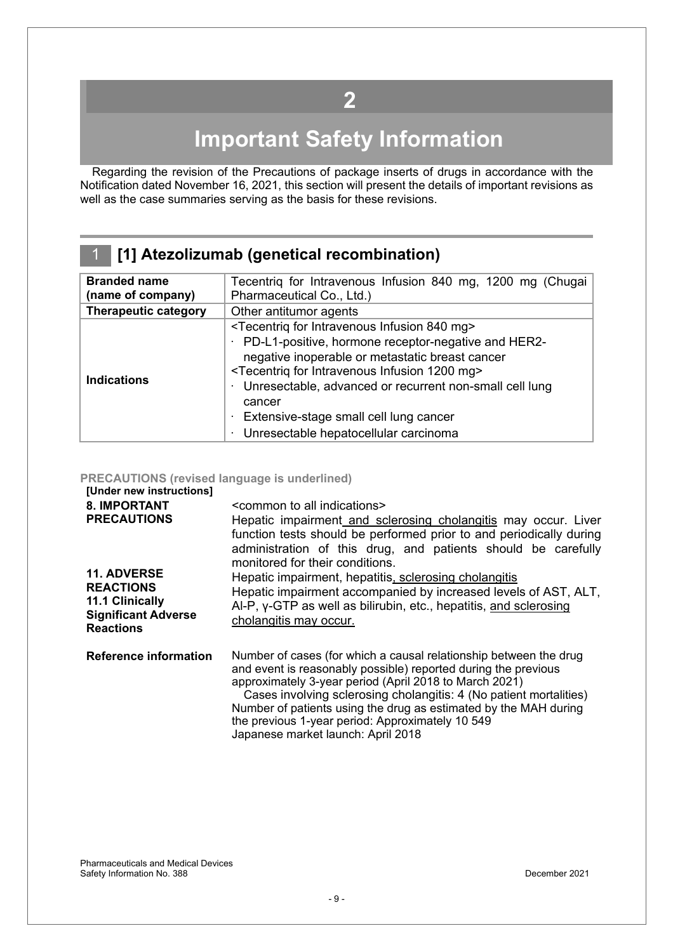## **2**

# **Important Safety Information**

<span id="page-8-0"></span>Regarding the revision of the Precautions of package inserts of drugs in accordance with the Notification dated November 16, 2021, this section will present the details of important revisions as well as the case summaries serving as the basis for these revisions.

| 1 [1] Atezolizumab (genetical recombination) |
|----------------------------------------------|
|                                              |

| <b>Branded name</b>         | Tecentriq for Intravenous Infusion 840 mg, 1200 mg (Chugai              |  |  |
|-----------------------------|-------------------------------------------------------------------------|--|--|
| (name of company)           | Pharmaceutical Co., Ltd.)                                               |  |  |
| <b>Therapeutic category</b> | Other antitumor agents                                                  |  |  |
|                             | <tecentrig 840="" for="" infusion="" intravenous="" mg=""></tecentrig>  |  |  |
|                             | PD-L1-positive, hormone receptor-negative and HER2-                     |  |  |
|                             | negative inoperable or metastatic breast cancer                         |  |  |
|                             | <tecentriq 1200="" for="" infusion="" intravenous="" mg=""></tecentriq> |  |  |
| <b>Indications</b>          | Unresectable, advanced or recurrent non-small cell lung<br>٠            |  |  |
|                             | cancer                                                                  |  |  |
|                             | Extensive-stage small cell lung cancer                                  |  |  |
|                             | Unresectable hepatocellular carcinoma                                   |  |  |

#### **PRECAUTIONS (revised language is underlined)**

| [Under new instructions]<br><b>8. IMPORTANT</b><br><b>PRECAUTIONS</b><br><b>11. ADVERSE</b><br><b>REACTIONS</b><br>11.1 Clinically<br><b>Significant Adverse</b><br><b>Reactions</b> | <common all="" indications="" to=""><br/>Hepatic impairment and sclerosing cholangitis may occur. Liver<br/>function tests should be performed prior to and periodically during<br/>administration of this drug, and patients should be carefully<br/>monitored for their conditions.<br/>Hepatic impairment, hepatitis, sclerosing cholangitis<br/>Hepatic impairment accompanied by increased levels of AST, ALT,<br/>Al-P, y-GTP as well as bilirubin, etc., hepatitis, and sclerosing<br/>cholangitis may occur.</common> |
|--------------------------------------------------------------------------------------------------------------------------------------------------------------------------------------|-------------------------------------------------------------------------------------------------------------------------------------------------------------------------------------------------------------------------------------------------------------------------------------------------------------------------------------------------------------------------------------------------------------------------------------------------------------------------------------------------------------------------------|
| <b>Reference information</b>                                                                                                                                                         | Number of cases (for which a causal relationship between the drug<br>and event is reasonably possible) reported during the previous<br>approximately 3-year period (April 2018 to March 2021)<br>Cases involving sclerosing cholangitis: 4 (No patient mortalities)<br>Number of patients using the drug as estimated by the MAH during<br>the previous 1-year period: Approximately 10 549<br>Japanese market launch: April 2018                                                                                             |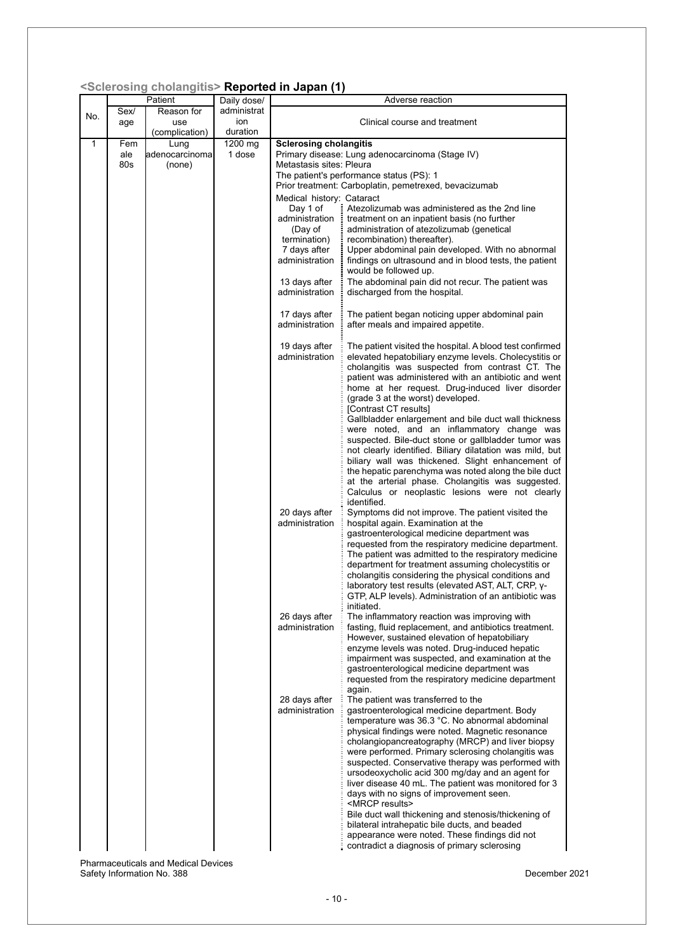|  |  | <sclerosing cholangitis=""> Reported in Japan (1)</sclerosing> |  |  |
|--|--|----------------------------------------------------------------|--|--|
|--|--|----------------------------------------------------------------|--|--|

|     |      | Patient        | Daily dose/ | ociorosing cholanginos <b>iveportea in capan</b> (T | Adverse reaction                                                                                              |  |
|-----|------|----------------|-------------|-----------------------------------------------------|---------------------------------------------------------------------------------------------------------------|--|
|     | Sex/ | Reason for     | administrat |                                                     |                                                                                                               |  |
| No. | age  | use            | ion         | Clinical course and treatment                       |                                                                                                               |  |
|     |      | (complication) | duration    |                                                     |                                                                                                               |  |
| 1   | Fem  | Lung           | 1200 mg     | <b>Sclerosing cholangitis</b>                       |                                                                                                               |  |
|     | ale  | adenocarcinoma | 1 dose      |                                                     | Primary disease: Lung adenocarcinoma (Stage IV)                                                               |  |
|     | 80s  | (none)         |             | Metastasis sites: Pleura                            |                                                                                                               |  |
|     |      |                |             |                                                     | The patient's performance status (PS): 1                                                                      |  |
|     |      |                |             |                                                     | Prior treatment: Carboplatin, pemetrexed, bevacizumab                                                         |  |
|     |      |                |             | Medical history: Cataract                           |                                                                                                               |  |
|     |      |                |             | Day 1 of                                            | Atezolizumab was administered as the 2nd line                                                                 |  |
|     |      |                |             | administration                                      | treatment on an inpatient basis (no further                                                                   |  |
|     |      |                |             | (Day of                                             | administration of atezolizumab (genetical                                                                     |  |
|     |      |                |             | termination)<br>7 days after                        | recombination) thereafter).<br>Upper abdominal pain developed. With no abnormal                               |  |
|     |      |                |             | administration                                      | findings on ultrasound and in blood tests, the patient                                                        |  |
|     |      |                |             |                                                     | would be followed up.                                                                                         |  |
|     |      |                |             | 13 days after                                       | The abdominal pain did not recur. The patient was                                                             |  |
|     |      |                |             | administration                                      | discharged from the hospital.                                                                                 |  |
|     |      |                |             |                                                     |                                                                                                               |  |
|     |      |                |             | 17 days after                                       | The patient began noticing upper abdominal pain                                                               |  |
|     |      |                |             | administration                                      | after meals and impaired appetite.                                                                            |  |
|     |      |                |             |                                                     |                                                                                                               |  |
|     |      |                |             | 19 days after                                       | The patient visited the hospital. A blood test confirmed                                                      |  |
|     |      |                |             | administration                                      | elevated hepatobiliary enzyme levels. Cholecystitis or<br>cholangitis was suspected from contrast CT. The     |  |
|     |      |                |             |                                                     | patient was administered with an antibiotic and went                                                          |  |
|     |      |                |             |                                                     | home at her request. Drug-induced liver disorder                                                              |  |
|     |      |                |             |                                                     | (grade 3 at the worst) developed.                                                                             |  |
|     |      |                |             |                                                     | [Contrast CT results]                                                                                         |  |
|     |      |                |             |                                                     | Gallbladder enlargement and bile duct wall thickness                                                          |  |
|     |      |                |             |                                                     | were noted, and an inflammatory change was                                                                    |  |
|     |      |                |             |                                                     | suspected. Bile-duct stone or gallbladder tumor was                                                           |  |
|     |      |                |             |                                                     | not clearly identified. Biliary dilatation was mild, but<br>biliary wall was thickened. Slight enhancement of |  |
|     |      |                |             |                                                     | the hepatic parenchyma was noted along the bile duct                                                          |  |
|     |      |                |             |                                                     | at the arterial phase. Cholangitis was suggested.                                                             |  |
|     |      |                |             |                                                     | Calculus or neoplastic lesions were not clearly                                                               |  |
|     |      |                |             |                                                     | identified.                                                                                                   |  |
|     |      |                |             | 20 days after                                       | Symptoms did not improve. The patient visited the                                                             |  |
|     |      |                |             | administration                                      | hospital again. Examination at the                                                                            |  |
|     |      |                |             |                                                     | gastroenterological medicine department was                                                                   |  |
|     |      |                |             |                                                     | requested from the respiratory medicine department.<br>The patient was admitted to the respiratory medicine   |  |
|     |      |                |             |                                                     | department for treatment assuming cholecystitis or                                                            |  |
|     |      |                |             |                                                     | cholangitis considering the physical conditions and                                                           |  |
|     |      |                |             |                                                     | laboratory test results (elevated AST, ALT, CRP, y-                                                           |  |
|     |      |                |             |                                                     | GTP, ALP levels). Administration of an antibiotic was                                                         |  |
|     |      |                |             |                                                     | initiated.                                                                                                    |  |
|     |      |                |             | 26 days after                                       | The inflammatory reaction was improving with                                                                  |  |
|     |      |                |             | administration                                      | fasting, fluid replacement, and antibiotics treatment.<br>However, sustained elevation of hepatobiliary       |  |
|     |      |                |             |                                                     | enzyme levels was noted. Drug-induced hepatic                                                                 |  |
|     |      |                |             |                                                     | impairment was suspected, and examination at the                                                              |  |
|     |      |                |             |                                                     | gastroenterological medicine department was                                                                   |  |
|     |      |                |             |                                                     | requested from the respiratory medicine department                                                            |  |
|     |      |                |             |                                                     | again.                                                                                                        |  |
|     |      |                |             | 28 days after                                       | The patient was transferred to the                                                                            |  |
|     |      |                |             | administration                                      | gastroenterological medicine department. Body                                                                 |  |
|     |      |                |             |                                                     | temperature was 36.3 °C. No abnormal abdominal<br>physical findings were noted. Magnetic resonance            |  |
|     |      |                |             |                                                     | cholangiopancreatography (MRCP) and liver biopsy                                                              |  |
|     |      |                |             |                                                     | were performed. Primary sclerosing cholangitis was                                                            |  |
|     |      |                |             |                                                     | suspected. Conservative therapy was performed with                                                            |  |
|     |      |                |             |                                                     | ursodeoxycholic acid 300 mg/day and an agent for                                                              |  |
|     |      |                |             |                                                     | liver disease 40 mL. The patient was monitored for 3                                                          |  |
|     |      |                |             |                                                     | days with no signs of improvement seen.                                                                       |  |
|     |      |                |             |                                                     | <mrcp results=""></mrcp>                                                                                      |  |
|     |      |                |             |                                                     | Bile duct wall thickening and stenosis/thickening of                                                          |  |
|     |      |                |             |                                                     | bilateral intrahepatic bile ducts, and beaded<br>appearance were noted. These findings did not                |  |
|     |      |                |             |                                                     | contradict a diagnosis of primary sclerosing                                                                  |  |
|     |      |                |             |                                                     |                                                                                                               |  |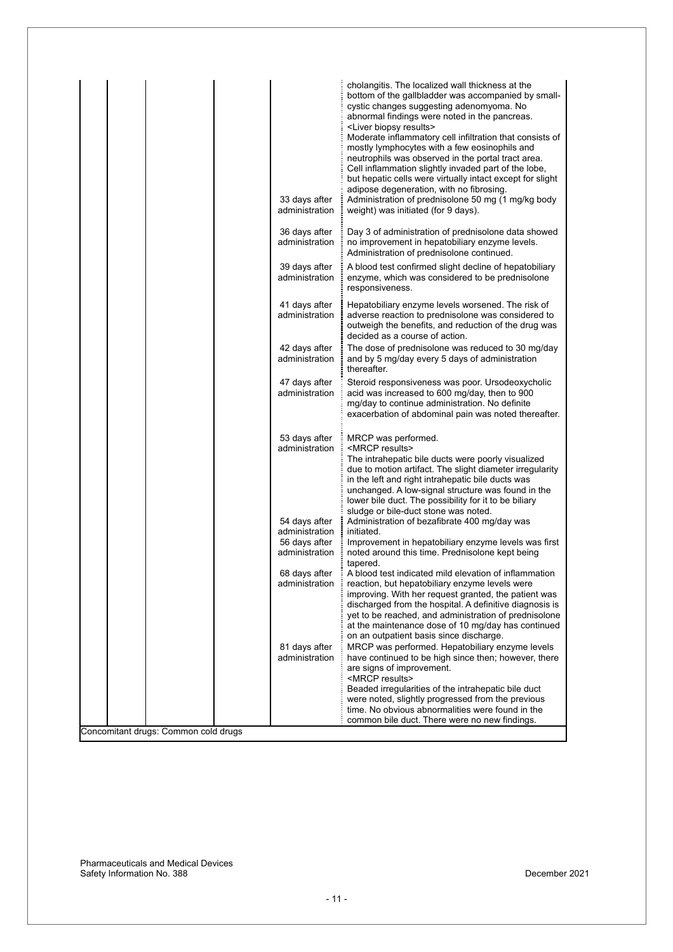| cholangitis. The localized wall thickness at the<br>cystic changes suggesting adenomyoma. No<br>abnormal findings were noted in the pancreas.<br><liver biopsy="" results=""><br/>mostly lymphocytes with a few eosinophils and<br/>adipose degeneration, with no fibrosing.<br/>33 days after<br/>administration<br/>weight) was initiated (for 9 days).</liver> | bottom of the gallbladder was accompanied by small-<br>Moderate inflammatory cell infiltration that consists of<br>neutrophils was observed in the portal tract area.<br>Cell inflammation slightly invaded part of the lobe,<br>but hepatic cells were virtually intact except for slight<br>Administration of prednisolone 50 mg (1 mg/kg body |
|-------------------------------------------------------------------------------------------------------------------------------------------------------------------------------------------------------------------------------------------------------------------------------------------------------------------------------------------------------------------|--------------------------------------------------------------------------------------------------------------------------------------------------------------------------------------------------------------------------------------------------------------------------------------------------------------------------------------------------|
| 36 days after<br>administration<br>Administration of prednisolone continued.                                                                                                                                                                                                                                                                                      | Day 3 of administration of prednisolone data showed<br>no improvement in hepatobiliary enzyme levels.                                                                                                                                                                                                                                            |
| 39 days after<br>administration<br>responsiveness.                                                                                                                                                                                                                                                                                                                | A blood test confirmed slight decline of hepatobiliary<br>enzyme, which was considered to be prednisolone                                                                                                                                                                                                                                        |
| 41 days after<br>administration<br>decided as a course of action.                                                                                                                                                                                                                                                                                                 | Hepatobiliary enzyme levels worsened. The risk of<br>adverse reaction to prednisolone was considered to<br>outweigh the benefits, and reduction of the drug was                                                                                                                                                                                  |
| 42 days after<br>administration<br>and by 5 mg/day every 5 days of administration<br>thereafter.                                                                                                                                                                                                                                                                  | The dose of prednisolone was reduced to 30 mg/day                                                                                                                                                                                                                                                                                                |
| 47 days after<br>administration<br>acid was increased to 600 mg/day, then to 900<br>mg/day to continue administration. No definite                                                                                                                                                                                                                                | Steroid responsiveness was poor. Ursodeoxycholic<br>exacerbation of abdominal pain was noted thereafter.                                                                                                                                                                                                                                         |
| 53 days after<br>MRCP was performed.<br><mrcp results=""><br/>administration<br/>in the left and right intrahepatic bile ducts was<br/>lower bile duct. The possibility for it to be biliary<br/>sludge or bile-duct stone was noted.</mrcp>                                                                                                                      | The intrahepatic bile ducts were poorly visualized<br>due to motion artifact. The slight diameter irregularity<br>unchanged. A low-signal structure was found in the                                                                                                                                                                             |
| 54 days after<br>Administration of bezafibrate 400 mg/day was<br>administration<br>initiated.<br>56 days after<br>administration<br>tapered.                                                                                                                                                                                                                      | Improvement in hepatobiliary enzyme levels was first<br>noted around this time. Prednisolone kept being                                                                                                                                                                                                                                          |
| 68 days after<br>administration<br>reaction, but hepatobiliary enzyme levels were<br>on an outpatient basis since discharge.                                                                                                                                                                                                                                      | A blood test indicated mild elevation of inflammation<br>improving. With her request granted, the patient was<br>discharged from the hospital. A definitive diagnosis is<br>yet to be reached, and administration of prednisolone<br>at the maintenance dose of 10 mg/day has continued                                                          |
| 81 days after<br>administration<br>are signs of improvement.<br><mrcp results=""></mrcp>                                                                                                                                                                                                                                                                          | MRCP was performed. Hepatobiliary enzyme levels<br>have continued to be high since then; however, there<br>Beaded irregularities of the intrahepatic bile duct                                                                                                                                                                                   |
| common bile duct. There were no new findings.<br>Concomitant drugs: Common cold drugs                                                                                                                                                                                                                                                                             | were noted, slightly progressed from the previous<br>time. No obvious abnormalities were found in the                                                                                                                                                                                                                                            |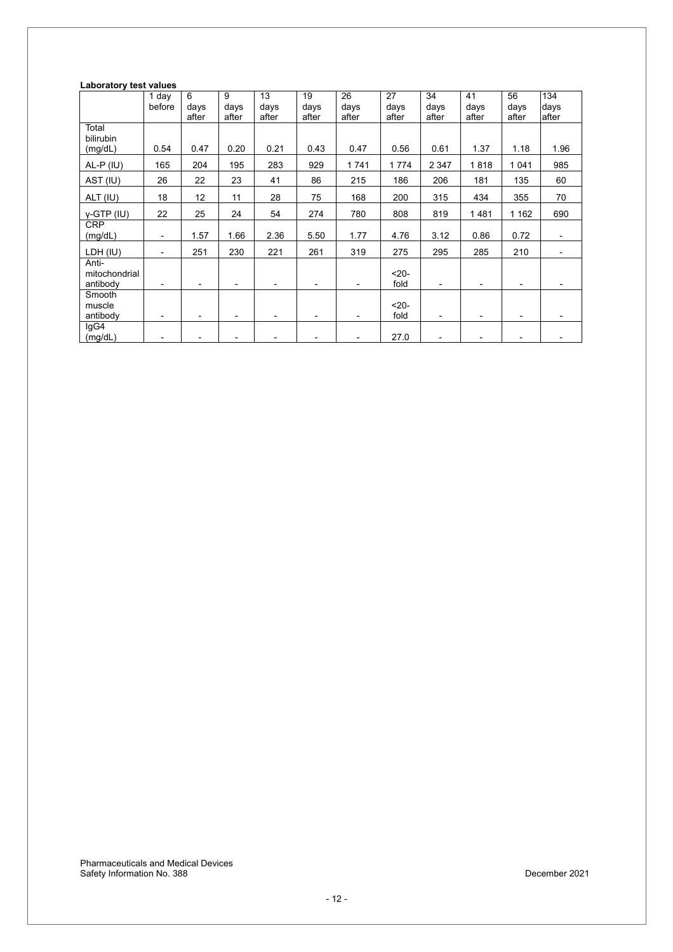#### **Laboratory test values**

|                                    | 1 day<br>before          | 6<br>days<br>after | 9<br>days<br>after | 13<br>days<br>after | 19<br>days<br>after | 26<br>days<br>after | 27<br>days<br>after | 34<br>days<br>after | 41<br>days<br>after | 56<br>days<br>after      | 134<br>days<br>after     |
|------------------------------------|--------------------------|--------------------|--------------------|---------------------|---------------------|---------------------|---------------------|---------------------|---------------------|--------------------------|--------------------------|
| Total<br>bilirubin                 |                          |                    |                    |                     |                     |                     |                     |                     |                     |                          |                          |
| (mg/dL)<br>$AL-P$ (IU)             | 0.54<br>165              | 0.47<br>204        | 0.20<br>195        | 0.21<br>283         | 0.43<br>929         | 0.47<br>1741        | 0.56<br>1774        | 0.61<br>2 3 4 7     | 1.37<br>1818        | 1.18<br>1 0 4 1          | 1.96<br>985              |
| AST (IU)                           | 26                       | 22                 | 23                 | 41                  | 86                  | 215                 | 186                 | 206                 | 181                 | 135                      | 60                       |
| ALT (IU)                           | 18                       | 12                 | 11                 | 28                  | 75                  | 168                 | 200                 | 315                 | 434                 | 355                      | 70                       |
| $Y-GTP$ (IU)                       | 22                       | 25                 | 24                 | 54                  | 274                 | 780                 | 808                 | 819                 | 1481                | 1 1 6 2                  | 690                      |
| <b>CRP</b><br>(mg/dL)              | $\overline{\phantom{a}}$ | 1.57               | 1.66               | 2.36                | 5.50                | 1.77                | 4.76                | 3.12                | 0.86                | 0.72                     | $\overline{\phantom{0}}$ |
| LDH (IU)                           | $\blacksquare$           | 251                | 230                | 221                 | 261                 | 319                 | 275                 | 295                 | 285                 | 210                      | ۰                        |
| Anti-<br>mitochondrial<br>antibody | $\blacksquare$           |                    |                    |                     |                     | ۰                   | $20-$<br>fold       | ٠                   | ٠                   | $\blacksquare$           |                          |
| Smooth<br>muscle<br>antibody       | $\blacksquare$           |                    |                    |                     |                     |                     | $20-$<br>fold       | ۰                   | ۰                   | $\overline{\phantom{a}}$ |                          |
| lgG4<br>(mg/dL)                    |                          |                    |                    |                     |                     |                     | 27.0                |                     |                     | $\overline{\phantom{a}}$ |                          |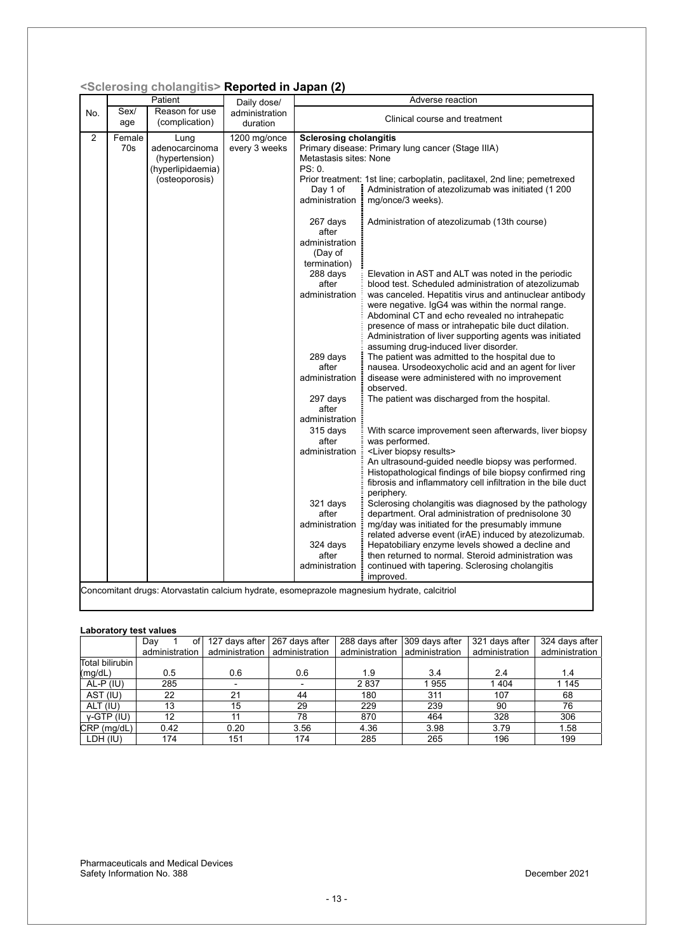|     |               | <sclerosing cholangitis=""> Reported in Japan (2)</sclerosing>                  |                                 |                                                                                                                                                                                                                                                                              |                                                                                                                                                                                                                                                                                                                                                                                                                                                                                                                                                                                                                                                                                                                                                                                                                                                                                                                                                                                                                                                                                                                                                                                                                                                                                                                                  |
|-----|---------------|---------------------------------------------------------------------------------|---------------------------------|------------------------------------------------------------------------------------------------------------------------------------------------------------------------------------------------------------------------------------------------------------------------------|----------------------------------------------------------------------------------------------------------------------------------------------------------------------------------------------------------------------------------------------------------------------------------------------------------------------------------------------------------------------------------------------------------------------------------------------------------------------------------------------------------------------------------------------------------------------------------------------------------------------------------------------------------------------------------------------------------------------------------------------------------------------------------------------------------------------------------------------------------------------------------------------------------------------------------------------------------------------------------------------------------------------------------------------------------------------------------------------------------------------------------------------------------------------------------------------------------------------------------------------------------------------------------------------------------------------------------|
|     |               | Patient                                                                         | Daily dose/                     |                                                                                                                                                                                                                                                                              | Adverse reaction                                                                                                                                                                                                                                                                                                                                                                                                                                                                                                                                                                                                                                                                                                                                                                                                                                                                                                                                                                                                                                                                                                                                                                                                                                                                                                                 |
| No. | Sex/<br>age   | Reason for use<br>(complication)                                                | administration<br>duration      |                                                                                                                                                                                                                                                                              | Clinical course and treatment                                                                                                                                                                                                                                                                                                                                                                                                                                                                                                                                                                                                                                                                                                                                                                                                                                                                                                                                                                                                                                                                                                                                                                                                                                                                                                    |
| 2   | Female<br>70s | Lung<br>adenocarcinoma<br>(hypertension)<br>(hyperlipidaemia)<br>(osteoporosis) | $1200$ mg/once<br>every 3 weeks | <b>Sclerosing cholangitis</b><br>Metastasis sites: None<br>PS: 0.<br>Day 1 of<br>administration :<br>267 days                                                                                                                                                                | Primary disease: Primary lung cancer (Stage IIIA)<br>Prior treatment: 1st line; carboplatin, paclitaxel, 2nd line; pemetrexed<br>Administration of atezolizumab was initiated (1 200<br>mg/once/3 weeks).<br>Administration of atezolizumab (13th course)                                                                                                                                                                                                                                                                                                                                                                                                                                                                                                                                                                                                                                                                                                                                                                                                                                                                                                                                                                                                                                                                        |
|     |               |                                                                                 |                                 | after<br>administration<br>(Day of<br>termination)<br>288 days<br>after<br>administration<br>289 days<br>after<br>administration<br>297 days<br>after<br>administration<br>315 days<br>after<br>administration :<br>321 days<br>after<br>administration<br>324 days<br>after | Elevation in AST and ALT was noted in the periodic<br>blood test. Scheduled administration of atezolizumab<br>was canceled. Hepatitis virus and antinuclear antibody<br>were negative. IgG4 was within the normal range.<br>Abdominal CT and echo revealed no intrahepatic<br>presence of mass or intrahepatic bile duct dilation.<br>Administration of liver supporting agents was initiated<br>assuming drug-induced liver disorder.<br>The patient was admitted to the hospital due to<br>nausea. Ursodeoxycholic acid and an agent for liver<br>disease were administered with no improvement<br>observed.<br>The patient was discharged from the hospital.<br>With scarce improvement seen afterwards, liver biopsy<br>was performed.<br><liver biopsy="" results=""><br/>An ultrasound-guided needle biopsy was performed.<br/>Histopathological findings of bile biopsy confirmed ring<br/>fibrosis and inflammatory cell infiltration in the bile duct<br/>periphery.<br/>Sclerosing cholangitis was diagnosed by the pathology<br/>department. Oral administration of prednisolone 30<br/>mg/day was initiated for the presumably immune<br/>related adverse event (irAE) induced by atezolizumab.<br/>Hepatobiliary enzyme levels showed a decline and<br/>then returned to normal. Steroid administration was</liver> |
|     |               |                                                                                 |                                 | administration                                                                                                                                                                                                                                                               | continued with tapering. Sclerosing cholangitis<br>improved.<br>Concomitant drugs: Atorvastatin calcium hydrate, esomeprazole magnesium hydrate, calcitriol                                                                                                                                                                                                                                                                                                                                                                                                                                                                                                                                                                                                                                                                                                                                                                                                                                                                                                                                                                                                                                                                                                                                                                      |
|     |               |                                                                                 |                                 |                                                                                                                                                                                                                                                                              |                                                                                                                                                                                                                                                                                                                                                                                                                                                                                                                                                                                                                                                                                                                                                                                                                                                                                                                                                                                                                                                                                                                                                                                                                                                                                                                                  |

#### **<Sclerosing cholangitis> Reported in Japan (2)**

#### **Laboratory test values**

|                 | Dav<br>of<br>administration | administration   administration | 127 days after 267 days after | 288 days after 309 days after<br>administration   administration |      | 321 days after<br>administration | 324 days after<br>administration |
|-----------------|-----------------------------|---------------------------------|-------------------------------|------------------------------------------------------------------|------|----------------------------------|----------------------------------|
| Total bilirubin |                             |                                 |                               |                                                                  |      |                                  |                                  |
| (mg/dL)         | 0.5                         | 0.6                             | 0.6                           | 1.9                                                              | 3.4  | 2.4                              | 1.4                              |
| AL-P (IU)       | 285                         |                                 |                               | 2837                                                             | 1955 | 1404                             | 1 1 4 5                          |
| AST (IU)        | 22                          | 21                              | 44                            | 180                                                              | 311  | 107                              | 68                               |
| ALT (IU)        | 13                          | 15                              | 29                            | 229                                                              | 239  | 90                               | 76                               |
| $V-GTP$ (IU)    | 12                          | 11                              | 78                            | 870                                                              | 464  | 328                              | 306                              |
| CRP (mg/dL)     | 0.42                        | 0.20                            | 3.56                          | 4.36                                                             | 3.98 | 3.79                             | 1.58                             |
| LDH (IU)        | 174                         | 151                             | 174                           | 285                                                              | 265  | 196                              | 199                              |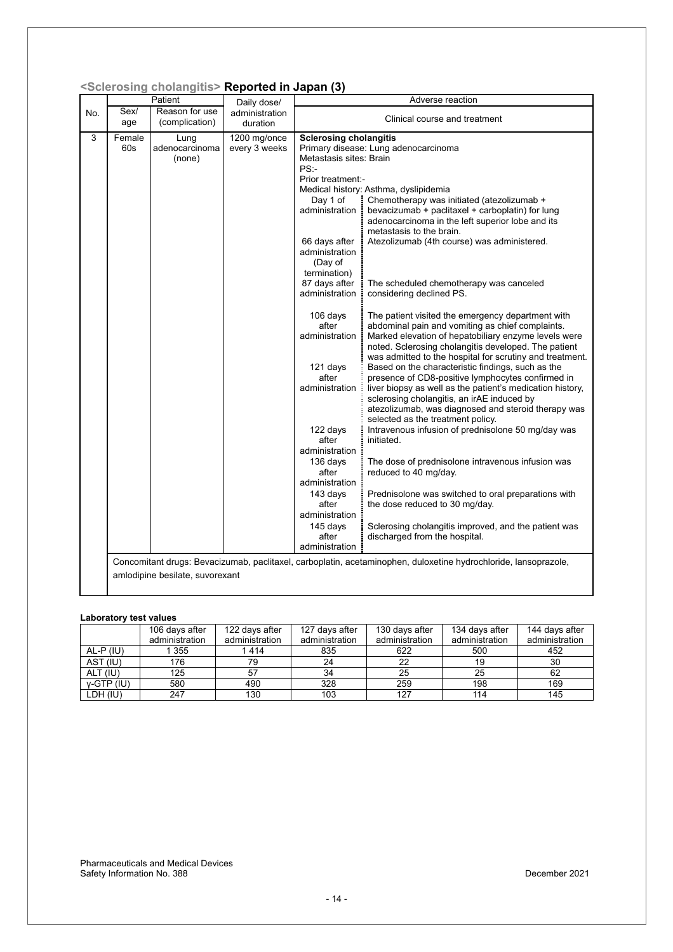|     |               | <scierosing cholangitis=""> <b>Reported in Japan (3)</b></scierosing> |                               |                                                                                                                                                                                                                                                                                                                                                                                                                            |                                                                                                                                                                                                                                                                                                                                                                                                                                                                                                                                                                                                                                                                                                                                                                                                                                                                                                                                                                                                                                                                                                                                                                                                                                        |
|-----|---------------|-----------------------------------------------------------------------|-------------------------------|----------------------------------------------------------------------------------------------------------------------------------------------------------------------------------------------------------------------------------------------------------------------------------------------------------------------------------------------------------------------------------------------------------------------------|----------------------------------------------------------------------------------------------------------------------------------------------------------------------------------------------------------------------------------------------------------------------------------------------------------------------------------------------------------------------------------------------------------------------------------------------------------------------------------------------------------------------------------------------------------------------------------------------------------------------------------------------------------------------------------------------------------------------------------------------------------------------------------------------------------------------------------------------------------------------------------------------------------------------------------------------------------------------------------------------------------------------------------------------------------------------------------------------------------------------------------------------------------------------------------------------------------------------------------------|
|     |               | Patient                                                               | Daily dose/                   |                                                                                                                                                                                                                                                                                                                                                                                                                            | Adverse reaction                                                                                                                                                                                                                                                                                                                                                                                                                                                                                                                                                                                                                                                                                                                                                                                                                                                                                                                                                                                                                                                                                                                                                                                                                       |
| No. | Sex/<br>age   | Reason for use<br>(complication)                                      | administration<br>duration    |                                                                                                                                                                                                                                                                                                                                                                                                                            | Clinical course and treatment                                                                                                                                                                                                                                                                                                                                                                                                                                                                                                                                                                                                                                                                                                                                                                                                                                                                                                                                                                                                                                                                                                                                                                                                          |
| 3   | Female<br>60s | Lung<br>adenocarcinoma<br>(none)                                      | 1200 mg/once<br>every 3 weeks | <b>Sclerosing cholangitis</b><br>Metastasis sites: Brain<br>$PS:$ -<br>Prior treatment:-<br>Day 1 of<br>administration<br>66 days after<br>administration<br>(Day of<br>termination)<br>87 days after<br>administration<br>106 days<br>after<br>administration<br>121 days<br>after<br>administration<br>122 days<br>after<br>administration<br>136 days<br>after<br>administration<br>143 days<br>after<br>administration | Primary disease: Lung adenocarcinoma<br>Medical history: Asthma, dyslipidemia<br>Chemotherapy was initiated (atezolizumab +<br>bevacizumab + paclitaxel + carboplatin) for lung<br>adenocarcinoma in the left superior lobe and its<br>metastasis to the brain.<br>Atezolizumab (4th course) was administered.<br>The scheduled chemotherapy was canceled<br>considering declined PS.<br>The patient visited the emergency department with<br>abdominal pain and vomiting as chief complaints.<br>Marked elevation of hepatobiliary enzyme levels were<br>noted. Sclerosing cholangitis developed. The patient<br>was admitted to the hospital for scrutiny and treatment.<br>Based on the characteristic findings, such as the<br>presence of CD8-positive lymphocytes confirmed in<br>liver biopsy as well as the patient's medication history,<br>sclerosing cholangitis, an irAE induced by<br>atezolizumab, was diagnosed and steroid therapy was<br>selected as the treatment policy.<br>Intravenous infusion of prednisolone 50 mg/day was<br>initiated.<br>The dose of prednisolone intravenous infusion was<br>reduced to 40 mg/day.<br>Prednisolone was switched to oral preparations with<br>the dose reduced to 30 mg/day. |
|     |               |                                                                       |                               | 145 days<br>after                                                                                                                                                                                                                                                                                                                                                                                                          | Sclerosing cholangitis improved, and the patient was<br>discharged from the hospital.                                                                                                                                                                                                                                                                                                                                                                                                                                                                                                                                                                                                                                                                                                                                                                                                                                                                                                                                                                                                                                                                                                                                                  |
|     |               | amlodipine besilate, suvorexant                                       |                               | administration                                                                                                                                                                                                                                                                                                                                                                                                             | Concomitant drugs: Bevacizumab, paclitaxel, carboplatin, acetaminophen, duloxetine hydrochloride, lansoprazole,                                                                                                                                                                                                                                                                                                                                                                                                                                                                                                                                                                                                                                                                                                                                                                                                                                                                                                                                                                                                                                                                                                                        |

#### **<Sclerosing cholangitis> Reported in Japan (3)**

#### **Laboratory test values**

|              | 106 days after | 122 days after | 127 days after | 130 days after | 134 days after | 144 days after |
|--------------|----------------|----------------|----------------|----------------|----------------|----------------|
|              | administration | administration | administration | administration | administration | administration |
| AL-P (IU)    | 355            | 1414           | 835            | 622            | 500            | 452            |
| AST (IU)     | 176            | 79             | 24             | 22             | 19             | 30             |
| ALT (IU)     | 125            | 57             | 34             | 25             | 25             | 62             |
| $V-GTP$ (IU) | 580            | 490            | 328            | 259            | 198            | 169            |
| LDH (IU)     | 247            | 130            | 103            | 127            | 114            | 145            |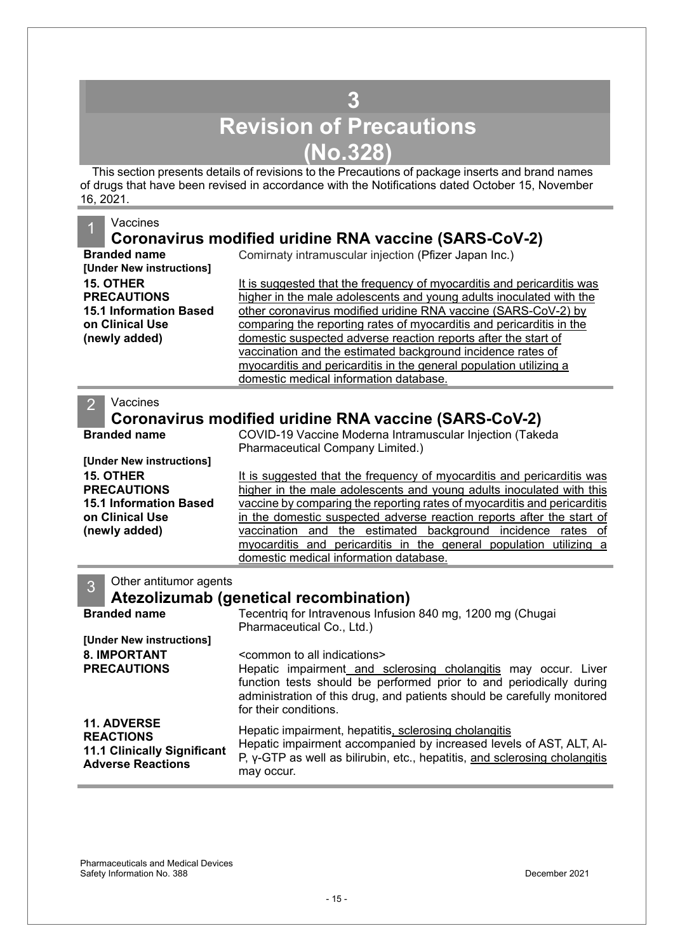## **3 Revision of Precautions (No.328)**

<span id="page-14-0"></span>This section presents details of revisions to the Precautions of package inserts and brand names of drugs that have been revised in accordance with the Notifications dated October 15, November 16, 2021.

#### **Vaccines**

### **Coronavirus modified uridine RNA vaccine (SARS-CoV-2)**

**[Under New instructions] 15. OTHER PRECAUTIONS 15.1 Information Based on Clinical Use (newly added)** 

**Branded name Comirnaty intramuscular injection (Pfizer Japan Inc.)** 

It is suggested that the frequency of myocarditis and pericarditis was higher in the male adolescents and young adults inoculated with the other coronavirus modified uridine RNA vaccine (SARS-CoV-2) by comparing the reporting rates of myocarditis and pericarditis in the domestic suspected adverse reaction reports after the start of vaccination and the estimated background incidence rates of myocarditis and pericarditis in the general population utilizing a domestic medical information database.

#### **Vaccines**

### **Coronavirus modified uridine RNA vaccine (SARS-CoV-2)**

| <b>Branded name</b>                                                                                                                     | COVID-19 Vaccine Moderna Intramuscular Injection (Takeda<br>Pharmaceutical Company Limited.)                                                                                                                                                                                                                                                                                                                                                                                       |  |  |  |
|-----------------------------------------------------------------------------------------------------------------------------------------|------------------------------------------------------------------------------------------------------------------------------------------------------------------------------------------------------------------------------------------------------------------------------------------------------------------------------------------------------------------------------------------------------------------------------------------------------------------------------------|--|--|--|
| [Under New instructions]<br><b>15. OTHER</b><br><b>PRECAUTIONS</b><br><b>15.1 Information Based</b><br>on Clinical Use<br>(newly added) | It is suggested that the frequency of myocarditis and pericarditis was<br>higher in the male adolescents and young adults inoculated with this<br>vaccine by comparing the reporting rates of myocarditis and pericarditis<br>in the domestic suspected adverse reaction reports after the start of<br>vaccination and the estimated background incidence rates of<br>myocarditis and pericarditis in the general population utilizing a<br>domestic medical information database. |  |  |  |
| Other antitumor agents<br>3                                                                                                             | Atezolizumab (genetical recombination)                                                                                                                                                                                                                                                                                                                                                                                                                                             |  |  |  |
| <b>Branded name</b>                                                                                                                     | Tecentriq for Intravenous Infusion 840 mg, 1200 mg (Chugai<br>Pharmaceutical Co., Ltd.)                                                                                                                                                                                                                                                                                                                                                                                            |  |  |  |
| [Under New instructions]                                                                                                                |                                                                                                                                                                                                                                                                                                                                                                                                                                                                                    |  |  |  |
| <b>8. IMPORTANT</b>                                                                                                                     | <common all="" indications="" to=""></common>                                                                                                                                                                                                                                                                                                                                                                                                                                      |  |  |  |
| <b>PRECAUTIONS</b>                                                                                                                      | Hepatic impairment and sclerosing cholangitis may occur. Liver<br>function tests should be performed prior to and periodically during<br>administration of this drug, and patients should be carefully monitored<br>for their conditions.                                                                                                                                                                                                                                          |  |  |  |
| <b>11. ADVERSE</b><br><b>REACTIONS</b><br><b>11.1 Clinically Significant</b><br><b>Adverse Reactions</b>                                | Hepatic impairment, hepatitis, sclerosing cholangitis<br>Hepatic impairment accompanied by increased levels of AST, ALT, AI-<br>P, y-GTP as well as bilirubin, etc., hepatitis, and sclerosing cholangitis<br>may occur.                                                                                                                                                                                                                                                           |  |  |  |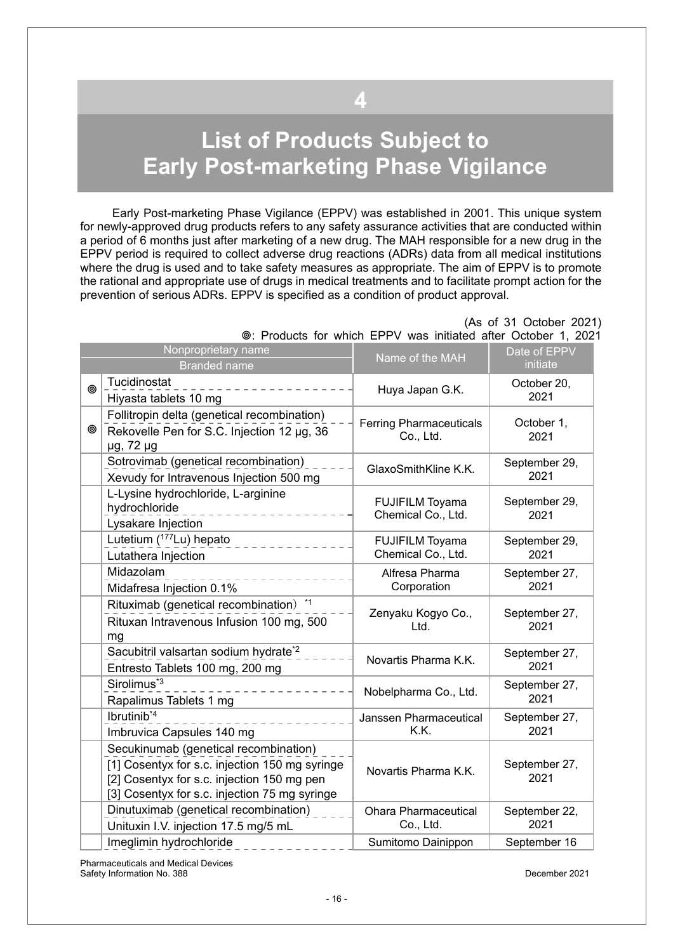# <span id="page-15-0"></span>**List of Products Subject to Early Post-marketing Phase Vigilance**

**4** 

Early Post-marketing Phase Vigilance (EPPV) was established in 2001. This unique system for newly-approved drug products refers to any safety assurance activities that are conducted within a period of 6 months just after marketing of a new drug. The MAH responsible for a new drug in the EPPV period is required to collect adverse drug reactions (ADRs) data from all medical institutions where the drug is used and to take safety measures as appropriate. The aim of EPPV is to promote the rational and appropriate use of drugs in medical treatments and to facilitate prompt action for the prevention of serious ADRs. EPPV is specified as a condition of product approval.

|   | Nonproprietary name<br><b>Branded name</b>                                                                                                                                             | Name of the MAH                              | Date of EPPV<br>initiate |
|---|----------------------------------------------------------------------------------------------------------------------------------------------------------------------------------------|----------------------------------------------|--------------------------|
| ◎ | Tucidinostat<br>Hiyasta tablets 10 mg                                                                                                                                                  | Huya Japan G.K.                              | October 20,<br>2021      |
| ◉ | Follitropin delta (genetical recombination)<br>Rekovelle Pen for S.C. Injection 12 µg, 36<br>$\mu$ g, 72 $\mu$ g                                                                       | <b>Ferring Pharmaceuticals</b><br>Co., Ltd.  | October 1,<br>2021       |
|   | Sotrovimab (genetical recombination)<br>Xevudy for Intravenous Injection 500 mg                                                                                                        | GlaxoSmithKline K.K.                         | September 29,<br>2021    |
|   | L-Lysine hydrochloride, L-arginine<br>hydrochloride<br>Lysakare Injection                                                                                                              | <b>FUJIFILM Toyama</b><br>Chemical Co., Ltd. | September 29,<br>2021    |
|   | Lutetium (177Lu) hepato<br>Lutathera Injection                                                                                                                                         | <b>FUJIFILM Toyama</b><br>Chemical Co., Ltd. | September 29,<br>2021    |
|   | Midazolam<br>Midafresa Injection 0.1%                                                                                                                                                  | Alfresa Pharma<br>Corporation                | September 27,<br>2021    |
|   | Rituximab (genetical recombination) *1<br>Rituxan Intravenous Infusion 100 mg, 500<br>mg                                                                                               | Zenyaku Kogyo Co.,<br>Ltd.                   | September 27,<br>2021    |
|   | Sacubitril valsartan sodium hydrate <sup>*2</sup><br>Entresto Tablets 100 mg, 200 mg                                                                                                   | Novartis Pharma K.K.                         | September 27,<br>2021    |
|   | Sirolimus <sup>*3</sup><br>Rapalimus Tablets 1 mg                                                                                                                                      | Nobelpharma Co., Ltd.                        | September 27,<br>2021    |
|   | Ibrutinib <sup>*4</sup><br>Imbruvica Capsules 140 mg                                                                                                                                   | Janssen Pharmaceutical<br>K.K.               | September 27,<br>2021    |
|   | Secukinumab (genetical recombination)<br>[1] Cosentyx for s.c. injection 150 mg syringe<br>[2] Cosentyx for s.c. injection 150 mg pen<br>[3] Cosentyx for s.c. injection 75 mg syringe | Novartis Pharma K.K.                         | September 27,<br>2021    |
|   | Dinutuximab (genetical recombination)<br>Unituxin I.V. injection 17.5 mg/5 mL                                                                                                          | <b>Ohara Pharmaceutical</b><br>Co., Ltd.     | September 22,<br>2021    |
|   | Imeglimin hydrochloride                                                                                                                                                                | Sumitomo Dainippon                           | September 16             |

 (As of 31 October 2021) : Products for which EPPV was initiated after October 1, 2021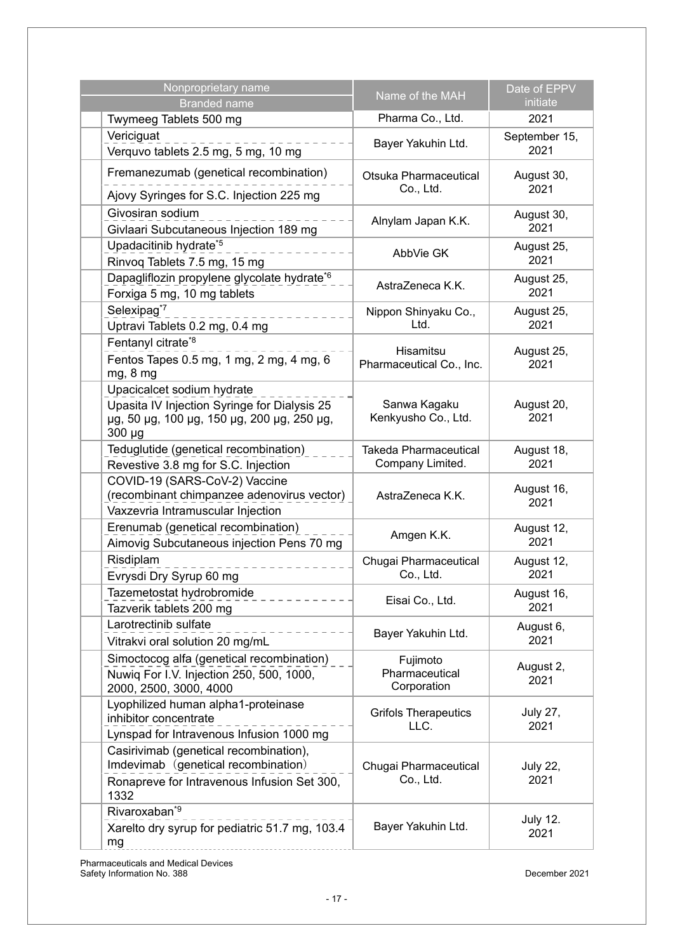| Nonproprietary name<br><b>Branded name</b>                                                                                              | Name of the MAH                                  | Date of EPPV<br>initiate |
|-----------------------------------------------------------------------------------------------------------------------------------------|--------------------------------------------------|--------------------------|
| Twymeeg Tablets 500 mg                                                                                                                  | Pharma Co., Ltd.                                 | 2021                     |
| Vericiguat<br>Verquvo tablets 2.5 mg, 5 mg, 10 mg                                                                                       | Bayer Yakuhin Ltd.                               | September 15,<br>2021    |
| Fremanezumab (genetical recombination)                                                                                                  | Otsuka Pharmaceutical<br>Co., Ltd.               | August 30,<br>2021       |
| Ajovy Syringes for S.C. Injection 225 mg<br>Givosiran sodium<br>Givlaari Subcutaneous Injection 189 mg                                  | Alnylam Japan K.K.                               | August 30,<br>2021       |
| Upadacitinib hydrate <sup>*5</sup><br>Rinvoq Tablets 7.5 mg, 15 mg                                                                      | AbbVie GK                                        | August 25,<br>2021       |
| Dapagliflozin propylene glycolate hydrate <sup>*6</sup><br>Forxiga 5 mg, 10 mg tablets                                                  | AstraZeneca K.K.                                 | August 25,<br>2021       |
| Selexipag <sup>*7</sup><br>Uptravi Tablets 0.2 mg, 0.4 mg                                                                               | Nippon Shinyaku Co.,<br>Ltd.                     | August 25,<br>2021       |
| Fentanyl citrate*8<br>Fentos Tapes 0.5 mg, 1 mg, 2 mg, 4 mg, 6<br>mg, 8 mg                                                              | <b>Hisamitsu</b><br>Pharmaceutical Co., Inc.     | August 25,<br>2021       |
| Upacicalcet sodium hydrate<br>Upasita IV Injection Syringe for Dialysis 25<br>µg, 50 µg, 100 µg, 150 µg, 200 µg, 250 µg,<br>$300 \mu g$ | Sanwa Kagaku<br>Kenkyusho Co., Ltd.              | August 20,<br>2021       |
| Teduglutide (genetical recombination)<br>Revestive 3.8 mg for S.C. Injection                                                            | <b>Takeda Pharmaceutical</b><br>Company Limited. | August 18,<br>2021       |
| COVID-19 (SARS-CoV-2) Vaccine<br>(recombinant chimpanzee adenovirus vector)<br>Vaxzevria Intramuscular Injection                        | AstraZeneca K.K.                                 | August 16,<br>2021       |
| Erenumab (genetical recombination)<br>Aimovig Subcutaneous injection Pens 70 mg                                                         | Amgen K.K.                                       | August 12,<br>2021       |
| Risdiplam<br>Evrysdi Dry Syrup 60 mg                                                                                                    | Chugai Pharmaceutical<br>Co., Ltd.               | August 12,<br>2021       |
| Tazemetostat hydrobromide<br>Tazverik tablets 200 mg                                                                                    | Eisai Co., Ltd.                                  | August 16,<br>2021       |
| Larotrectinib sulfate<br>Vitrakvi oral solution 20 mg/mL                                                                                | Bayer Yakuhin Ltd.                               | August 6,<br>2021        |
| Simoctocog alfa (genetical recombination)<br>Nuwiq For I.V. Injection 250, 500, 1000,<br>2000, 2500, 3000, 4000                         | Fujimoto<br>Pharmaceutical<br>Corporation        | August 2,<br>2021        |
| Lyophilized human alpha1-proteinase<br>inhibitor concentrate<br>Lynspad for Intravenous Infusion 1000 mg                                | <b>Grifols Therapeutics</b><br>LLC.              | <b>July 27,</b><br>2021  |
| Casirivimab (genetical recombination),<br>Imdevimab (genetical recombination)<br>Ronapreve for Intravenous Infusion Set 300,<br>1332    | Chugai Pharmaceutical<br>Co., Ltd.               | <b>July 22,</b><br>2021  |
| Rivaroxaban <sup>*9</sup><br>Xarelto dry syrup for pediatric 51.7 mg, 103.4<br>mg                                                       | Bayer Yakuhin Ltd.                               | <b>July 12.</b><br>2021  |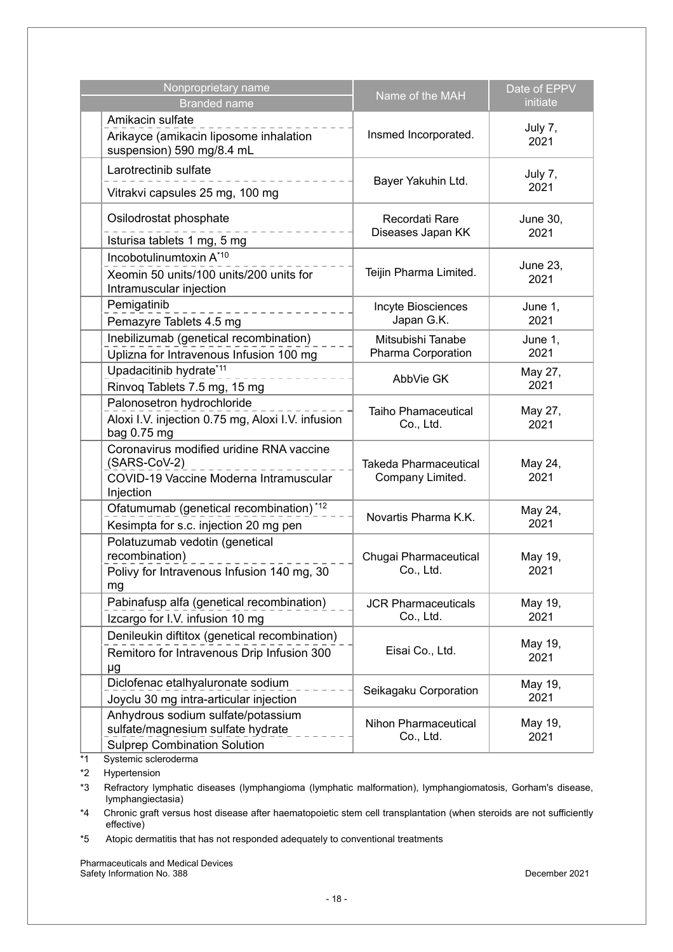| Nonproprietary name<br><b>Branded name</b>                                                                      | Name of the MAH                                  | Date of EPPV<br>initiate |
|-----------------------------------------------------------------------------------------------------------------|--------------------------------------------------|--------------------------|
| Amikacin sulfate<br>Arikayce (amikacin liposome inhalation<br>suspension) 590 mg/8.4 mL                         | Insmed Incorporated.                             | July 7,<br>2021          |
| Larotrectinib sulfate<br>Vitrakvi capsules 25 mg, 100 mg                                                        | Bayer Yakuhin Ltd.                               | July 7,<br>2021          |
| Osilodrostat phosphate<br>Isturisa tablets 1 mg, 5 mg                                                           | Recordati Rare<br>Diseases Japan KK              | <b>June 30,</b><br>2021  |
| Incobotulinumtoxin A*10<br>Xeomin 50 units/100 units/200 units for<br>Intramuscular injection                   | Teijin Pharma Limited.                           | June 23,<br>2021         |
| Pemigatinib<br>Pemazyre Tablets 4.5 mg                                                                          | Incyte Biosciences<br>Japan G.K.                 | June 1,<br>2021          |
| Inebilizumab (genetical recombination)<br>Uplizna for Intravenous Infusion 100 mg                               | Mitsubishi Tanabe<br>Pharma Corporation          | June 1,<br>2021          |
| Upadacitinib hydrate*11<br>Rinvoq Tablets 7.5 mg, 15 mg                                                         | AbbVie GK                                        | May 27,<br>2021          |
| Palonosetron hydrochloride<br>Aloxi I.V. injection 0.75 mg, Aloxi I.V. infusion<br>bag 0.75 mg                  | <b>Taiho Phamaceutical</b><br>Co., Ltd.          | May 27,<br>2021          |
| Coronavirus modified uridine RNA vaccine<br>(SARS-CoV-2)<br>COVID-19 Vaccine Moderna Intramuscular<br>Injection | <b>Takeda Pharmaceutical</b><br>Company Limited. | May 24,<br>2021          |
| Ofatumumab (genetical recombination) <sup>*12</sup><br>Kesimpta for s.c. injection 20 mg pen                    | Novartis Pharma K.K.                             | May 24,<br>2021          |
| Polatuzumab vedotin (genetical<br>recombination)<br>Polivy for Intravenous Infusion 140 mg, 30<br>mg            | Chugai Pharmaceutical<br>Co., Ltd.               | May 19,<br>2021          |
| Pabinafusp alfa (genetical recombination)<br>Izcargo for I.V. infusion 10 mg                                    | <b>JCR Pharmaceuticals</b><br>Co., Ltd.          | May 19,<br>2021          |
| Denileukin diftitox (genetical recombination)<br>Remitoro for Intravenous Drip Infusion 300<br>μg               | Eisai Co., Ltd.                                  | May 19,<br>2021          |
| Diclofenac etalhyaluronate sodium<br>Joyclu 30 mg intra-articular injection                                     | Seikagaku Corporation                            | May 19,<br>2021          |
| Anhydrous sodium sulfate/potassium<br>sulfate/magnesium sulfate hydrate<br><b>Sulprep Combination Solution</b>  | Nihon Pharmaceutical<br>Co., Ltd.                | May 19,<br>2021          |

\*1 Systemic scleroderma

\*2 Hypertension

\*3 Refractory lymphatic diseases (lymphangioma (lymphatic malformation), lymphangiomatosis, Gorham's disease, lymphangiectasia)

\*4 Chronic graft versus host disease after haematopoietic stem cell transplantation (when steroids are not sufficiently effective)

\*5 Atopic dermatitis that has not responded adequately to conventional treatments